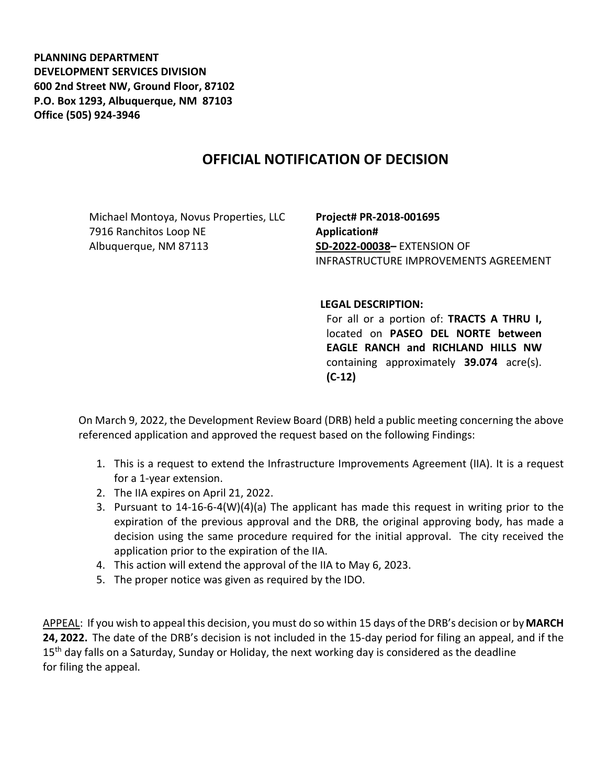**PLANNING DEPARTMENT DEVELOPMENT SERVICES DIVISION 600 2nd Street NW, Ground Floor, 87102 P.O. Box 1293, Albuquerque, NM 87103 Office (505) 924-3946** 

## **OFFICIAL NOTIFICATION OF DECISION**

Michael Montoya, Novus Properties, LLC 7916 Ranchitos Loop NE Albuquerque, NM 87113

**Project# PR-2018-001695 Application# SD-2022-00038–** EXTENSION OF INFRASTRUCTURE IMPROVEMENTS AGREEMENT

## **LEGAL DESCRIPTION:**

For all or a portion of: **TRACTS A THRU I,** located on **PASEO DEL NORTE between EAGLE RANCH and RICHLAND HILLS NW**  containing approximately **39.074** acre(s). **(C-12)**

On March 9, 2022, the Development Review Board (DRB) held a public meeting concerning the above referenced application and approved the request based on the following Findings:

- 1. This is a request to extend the Infrastructure Improvements Agreement (IIA). It is a request for a 1-year extension.
- 2. The IIA expires on April 21, 2022.
- 3. Pursuant to 14-16-6-4(W)(4)(a) The applicant has made this request in writing prior to the expiration of the previous approval and the DRB, the original approving body, has made a decision using the same procedure required for the initial approval. The city received the application prior to the expiration of the IIA.
- 4. This action will extend the approval of the IIA to May 6, 2023.
- 5. The proper notice was given as required by the IDO.

APPEAL: If you wish to appeal this decision, you must do so within 15 days of the DRB's decision or by**MARCH 24, 2022.** The date of the DRB's decision is not included in the 15-day period for filing an appeal, and if the 15<sup>th</sup> day falls on a Saturday, Sunday or Holiday, the next working day is considered as the deadline for filing the appeal.